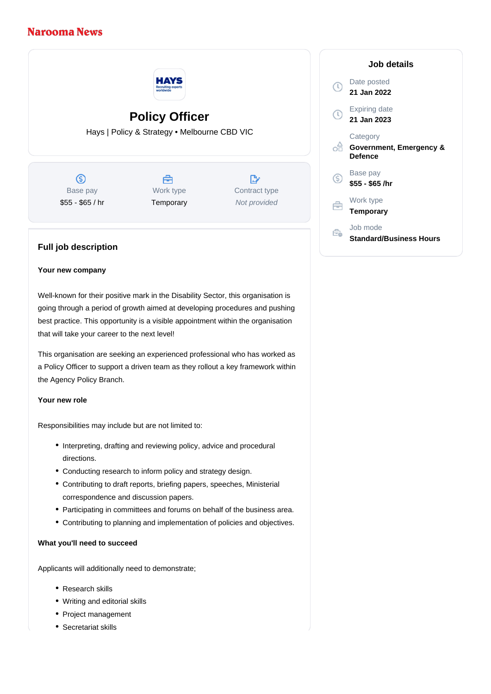# **Narooma News**



# **Policy Officer**

Hays | Policy & Strategy • Melbourne CBD VIC

൫ Base pay \$55 - \$65 / hr

## Å Work type **Temporary**

 $\mathbb{R}^n$ Contract type Not provided

### Date posted **21 Jan 2022**

**Job details**



- oo **Government, Emergency & Defence**
- Base pay <sub>(S)</sub> **\$55 - \$65 /hr**

 $\left( 0\right)$ 

Work type 户 **Temporary**

- Job mode
- Ê. **Standard/Business Hours**

## **Full job description**

#### **Your new company**

Well-known for their positive mark in the Disability Sector, this organisation is going through a period of growth aimed at developing procedures and pushing best practice. This opportunity is a visible appointment within the organisation that will take your career to the next level!

This organisation are seeking an experienced professional who has worked as a Policy Officer to support a driven team as they rollout a key framework within the Agency Policy Branch.

#### **Your new role**

Responsibilities may include but are not limited to:

- Interpreting, drafting and reviewing policy, advice and procedural directions.
- Conducting research to inform policy and strategy design.
- Contributing to draft reports, briefing papers, speeches, Ministerial correspondence and discussion papers.
- Participating in committees and forums on behalf of the business area.
- Contributing to planning and implementation of policies and objectives.

#### **What you'll need to succeed**

Applicants will additionally need to demonstrate;

- Research skills
- Writing and editorial skills
- Project management
- Secretariat skills